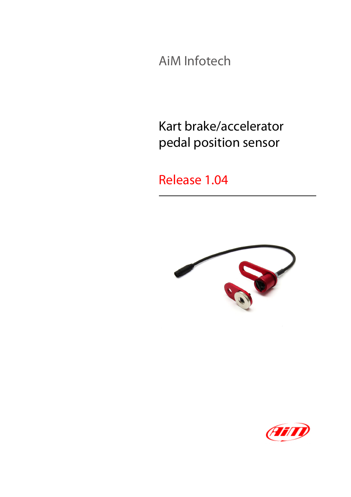AiM Infotech

Kart brake/accelerator pedal position sensor

Release 1.04



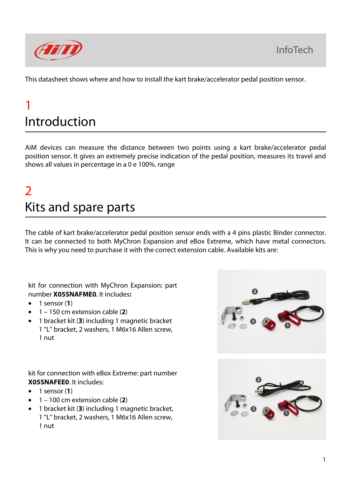**InfoTech** 



This datasheet shows where and how to install the kart brake/accelerator pedal position sensor.

## 1 Introduction

AiM devices can measure the distance between two points using a kart brake/accelerator pedal position sensor. It gives an extremely precise indication of the pedal position, measures its travel and shows all values in percentage in a 0 e 100%. range

## $\overline{\phantom{a}}$ Kits and spare parts

The cable of kart brake/accelerator pedal position sensor ends with a 4 pins plastic Binder connector. It can be connected to both MyChron Expansion and eBox Extreme, which have metal connectors. This is why you need to purchase it with the correct extension cable. Available kits are:

kit for connection with MyChron Expansion: part number **X05SNAFME0**. It includes**:**

- 1 sensor (**1**)
- 1 150 cm extension cable (**2**)
- 1 bracket kit (**3**) including 1 magnetic bracket 1 "L" bracket, 2 washers, 1 M6x16 Allen screw, 1 nut

kit for connection with eBox Extreme: part number **X05SNAFEE0**. It includes:

- 1 sensor (**1**)
- 1 100 cm extension cable (**2**)
- 1 bracket kit (**3**) including 1 magnetic bracket, 1 "L" bracket, 2 washers, 1 M6x16 Allen screw, 1 nut

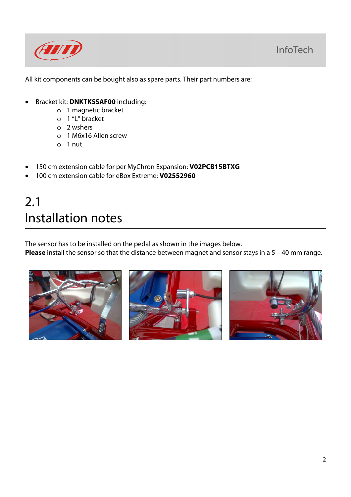

All kit components can be bought also as spare parts. Their part numbers are:

- Bracket kit: **DNKTKSSAF00** including:
	- o 1 magnetic bracket
	- o 1 "L" bracket
	- o 2 wshers
	- o 1 M6x16 Allen screw
	- o 1 nut
- 150 cm extension cable for per MyChron Expansion: **V02PCB15BTXG**
- 100 cm extension cable for eBox Extreme: **V02552960**

## 2.1 Installation notes

The sensor has to be installed on the pedal as shown in the images below.

**Please** install the sensor so that the distance between magnet and sensor stays in a 5 – 40 mm range.